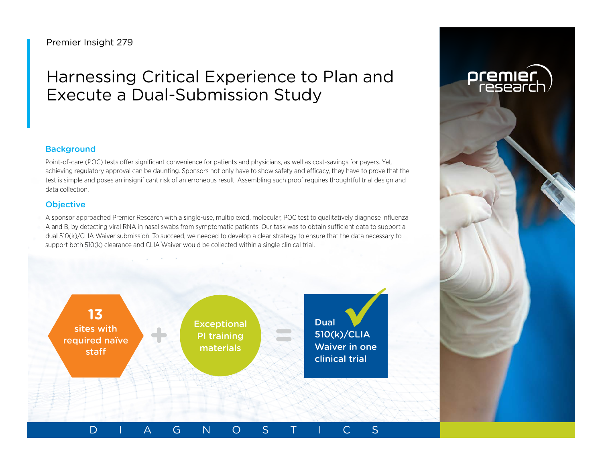## Premier Insight 279

# Harnessing Critical Experience to Plan and Execute a Dual-Submission Study

## **Background**

Point-of-care (POC) tests offer significant convenience for patients and physicians, as well as cost-savings for payers. Yet, achieving regulatory approval can be daunting. Sponsors not only have to show safety and efficacy, they have to prove that the test is simple and poses an insignificant risk of an erroneous result. Assembling such proof requires thoughtful trial design and data collection.

## **Objective**

A sponsor approached Premier Research with a single-use, multiplexed, molecular, POC test to qualitatively diagnose influenza A and B, by detecting viral RNA in nasal swabs from symptomatic patients. Our task was to obtain sufficient data to support a dual 510(k)/CLIA Waiver submission. To succeed, we needed to develop a clear strategy to ensure that the data necessary to support both 510(k) clearance and CLIA Waiver would be collected within a single clinical trial.